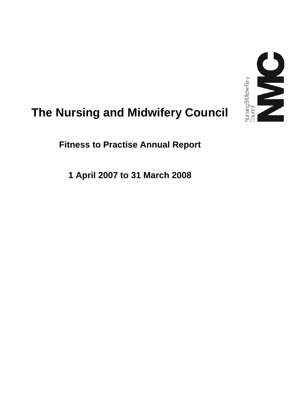

# **The Nursing and Midwifery Council**

**Fitness to Practise Annual Report** 

**1 April 2007 to 31 March 2008**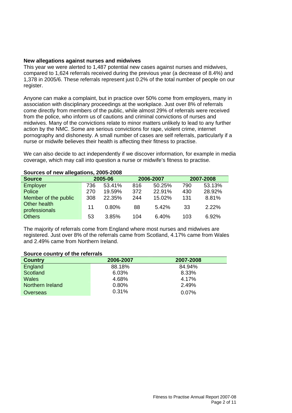#### **New allegations against nurses and midwives**

This year we were alerted to 1,487 potential new cases against nurses and midwives, compared to 1,624 referrals received during the previous year (a decrease of 8.4%) and 1,378 in 2005/6. These referrals represent just 0.2% of the total number of people on our register.

Anyone can make a complaint, but in practice over 50% come from employers, many in association with disciplinary proceedings at the workplace. Just over 8% of referrals come directly from members of the public, while almost 29% of referrals were received from the police, who inform us of cautions and criminal convictions of nurses and midwives. Many of the convictions relate to minor matters unlikely to lead to any further action by the NMC. Some are serious convictions for rape, violent crime, internet pornography and dishonesty. A small number of cases are self referrals, particularly if a nurse or midwife believes their health is affecting their fitness to practise.

We can also decide to act independently if we discover information, for example in media coverage, which may call into question a nurse or midwife's fitness to practise.

| <b>Source</b>                 |     | 2005-06 |     | 2006-2007 |     | 2007-2008 |  |  |
|-------------------------------|-----|---------|-----|-----------|-----|-----------|--|--|
| Employer                      | 736 | 53.41%  | 816 | 50.25%    | 790 | 53.13%    |  |  |
| Police                        | 270 | 19.59%  | 372 | 22.91%    | 430 | 28.92%    |  |  |
| Member of the public          | 308 | 22.35%  | 244 | 15.02%    | 131 | 8.81%     |  |  |
| Other health<br>professionals | 11  | 0.80%   | 88  | 5.42%     | 33  | $2.22\%$  |  |  |
| <b>Others</b>                 | 53  | 3.85%   | 104 | 6.40%     | 103 | 6.92%     |  |  |

The majority of referrals come from England where most nurses and midwives are registered. Just over 8% of the referrals came from Scotland, 4.17% came from Wales and 2.49% came from Northern Ireland.

#### **Source country of the referrals**

| <b>Country</b>   | 2006-2007 | 2007-2008 |
|------------------|-----------|-----------|
| England          | 88.18%    | 84.94%    |
| Scotland         | 6.03%     | 8.33%     |
| Wales            | 4.68%     | 4.17%     |
| Northern Ireland | 0.80%     | 2.49%     |
| Overseas         | 0.31%     | 0.07%     |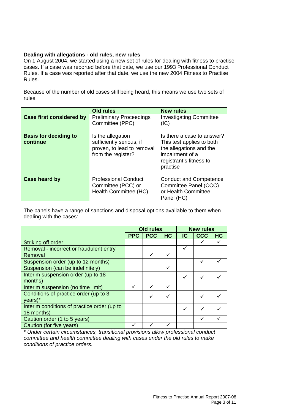## **Dealing with allegations - old rules, new rules**

On 1 August 2004, we started using a new set of rules for dealing with fitness to practise cases. If a case was reported before that date, we use our 1993 Professional Conduct Rules. If a case was reported after that date, we use the new 2004 Fitness to Practise Rules.

Because of the number of old cases still being heard, this means we use two sets of rules.

|                                          | <b>Old rules</b>                                                                                  | <b>New rules</b>                                                                                                                             |
|------------------------------------------|---------------------------------------------------------------------------------------------------|----------------------------------------------------------------------------------------------------------------------------------------------|
| <b>Case first considered by</b>          | <b>Preliminary Proceedings</b><br>Committee (PPC)                                                 | <b>Investigating Committee</b><br>(IC)                                                                                                       |
| <b>Basis for deciding to</b><br>continue | Is the allegation<br>sufficiently serious, if<br>proven, to lead to removal<br>from the register? | Is there a case to answer?<br>This test applies to both<br>the allegations and the<br>impairment of a<br>registrant's fitness to<br>practise |
| Case heard by                            | <b>Professional Conduct</b><br>Committee (PCC) or<br>Health Committee (HC)                        | <b>Conduct and Competence</b><br>Committee Panel (CCC)<br>or Health Committee<br>Panel (HC)                                                  |

The panels have a range of sanctions and disposal options available to them when dealing with the cases:

|                                             | <b>Old rules</b> |            |           | <b>New rules</b> |            |    |
|---------------------------------------------|------------------|------------|-----------|------------------|------------|----|
|                                             | <b>PPC</b>       | <b>PCC</b> | <b>HC</b> | IC               | <b>CCC</b> | HC |
| Striking off order                          |                  |            |           |                  |            |    |
| Removal - incorrect or fraudulent entry     |                  |            |           | ✓                |            |    |
| Removal                                     |                  |            |           |                  |            |    |
| Suspension order (up to 12 months)          |                  |            |           |                  |            |    |
| Suspension (can be indefinitely)            |                  |            | ✓         |                  |            |    |
| Interim suspension order (up to 18          |                  |            |           | $\checkmark$     |            |    |
| months)                                     |                  |            |           |                  |            |    |
| Interim suspension (no time limit)          | ✓                |            | ✓         |                  |            |    |
| Conditions of practice order (up to 3       |                  |            |           |                  |            |    |
| years)*                                     |                  |            |           |                  |            |    |
| Interim conditions of practice order (up to |                  |            |           | ✓                |            |    |
| 18 months)                                  |                  |            |           |                  |            |    |
| Caution order (1 to 5 years)                |                  |            |           |                  |            |    |
| Caution (for five years)                    |                  |            |           |                  |            |    |

**\*** *Under certain circumstances, transitional provisions allow professional conduct committee and health committee dealing with cases under the old rules to make conditions of practice orders.*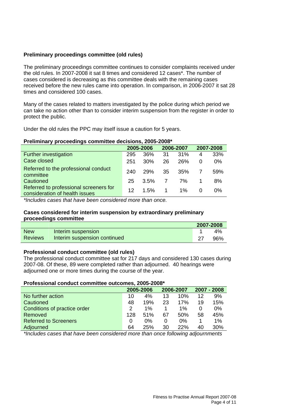# **Preliminary proceedings committee (old rules)**

The preliminary proceedings committee continues to consider complaints received under the old rules. In 2007-2008 it sat 8 times and considered 12 cases\*. The number of cases considered is decreasing as this committee deals with the remaining cases received before the new rules came into operation. In comparison, in 2006-2007 it sat 28 times and considered 100 cases.

Many of the cases related to matters investigated by the police during which period we can take no action other than to consider interim suspension from the register in order to protect the public.

Under the old rules the PPC may itself issue a caution for 5 years.

## **Preliminary proceedings committee decisions, 2005-2008\***

|                                                                          |     | 2005-2006 |             | 2006-2007 |              | 2007-2008 |
|--------------------------------------------------------------------------|-----|-----------|-------------|-----------|--------------|-----------|
| Further investigation                                                    | 295 | 36%       | 31          | 31%       | 4            | 33%       |
| Case closed                                                              | 251 | 30%       | 26          | 26%       | <sup>0</sup> | $0\%$     |
| Referred to the professional conduct<br>committee                        | 240 | 29%       | -35         | .35%      |              | 59%       |
| Cautioned                                                                | 25  | 3.5%      | 7           | 7%        |              | 8%        |
| Referred to professional screeners for<br>consideration of health issues | 12  | $1.5\%$   | $\mathbf 1$ | 1%        |              | 0%        |

*\*Includes cases that have been considered more than once.* 

## **Cases considered for interim suspension by extraordinary preliminary proceedings committee**

|                |                              | 2007-2008 |
|----------------|------------------------------|-----------|
| <b>New</b>     | Interim suspension           | $4\%$     |
| <b>Reviews</b> | Interim suspension continued | 96%       |

## **Professional conduct committee (old rules)**

The professional conduct committee sat for 217 days and considered 130 cases during 2007-08. Of these, 89 were completed rather than adjourned. 40 hearings were adjourned one or more times during the course of the year.

#### **Professional conduct committee outcomes, 2005-2008\***

|                              |     | 2005-2006 |    | 2006-2007 |    | 2007 - 2008 |
|------------------------------|-----|-----------|----|-----------|----|-------------|
| No further action            | 10  | 4%        | 13 | 10%       | 12 | 9%          |
| Cautioned                    | 48  | 19%       | 23 | 17%       | 19 | 15%         |
| Conditions of practice order | 2   | $1\%$     |    | $1\%$     |    | 0%          |
| Removed                      | 128 | 51%       | 67 | .50%      | 58 | 45%         |
| <b>Referred to Screeners</b> | 0   | $0\%$     | 0  | $0\%$     |    | 1%          |
| Adjourned                    | 64  | 25%       | 30 | 22%       | 40 | 30%         |

*\*Includes cases that have been considered more than once following adjournments*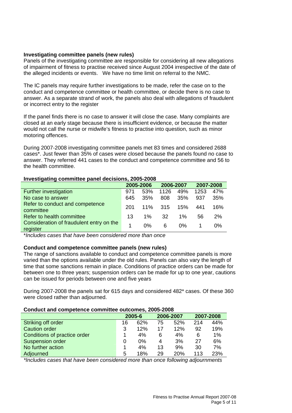## **Investigating committee panels (new rules)**

Panels of the investigating committee are responsible for considering all new allegations of impairment of fitness to practise received since August 2004 irrespective of the date of the alleged incidents or events. We have no time limit on referral to the NMC.

The IC panels may require further investigations to be made, refer the case on to the conduct and competence committee or health committee, or decide there is no case to answer. As a separate strand of work, the panels also deal with allegations of fraudulent or incorrect entry to the register

If the panel finds there is no case to answer it will close the case. Many complaints are closed at an early stage because there is insufficient evidence, or because the matter would not call the nurse or midwife's fitness to practise into question, such as minor motoring offences.

During 2007-2008 investigating committee panels met 83 times and considered 2688 cases\*. Just fewer than 35% of cases were closed because the panels found no case to answer. They referred 441 cases to the conduct and competence committee and 56 to the health committee.

## **Investigating committee panel decisions, 2005-2008**

|                                                      |     | 2005-2006 | 2006-2007 |       | 2007-2008 |     |
|------------------------------------------------------|-----|-----------|-----------|-------|-----------|-----|
| Further investigation                                | 971 | 53%       | 1126      | 49%   | 1253      | 47% |
| No case to answer                                    | 645 | 35%       | 808       | 35%   | 937       | 35% |
| Refer to conduct and competence<br>committee         | 201 | 11%       | - 315     | 15%   | 441       | 16% |
| Refer to health committee                            | 13. | $1\%$     | 32        | $1\%$ | 56        | 2%  |
| Consideration of fraudulent entry on the<br>register |     | 0%        | 6         | 0%    |           | 0%  |

\**Includes cases that have been considered more than once* 

## **Conduct and competence committee panels (new rules)**

The range of sanctions available to conduct and competence committee panels is more varied than the options available under the old rules. Panels can also vary the length of time that some sanctions remain in place. Conditions of practice orders can be made for between one to three years; suspension orders can be made for up to one year, cautions can be issued for periods between one and five years

During 2007-2008 the panels sat for 615 days and considered 482\* cases. Of these 360 were closed rather than adjourned.

#### **Conduct and competence committee outcomes, 2005-2008**

|                              |    | 2005-6 |    | 2006-2007 |     | 2007-2008 |
|------------------------------|----|--------|----|-----------|-----|-----------|
| Striking off order           | 16 | 62%    | 75 | 52%       | 214 | 44%       |
| <b>Caution order</b>         | 3  | 12%    | 17 | 12%       | 92  | 19%       |
| Conditions of practice order |    | 4%     | 6  | 4%        | 6   | 1%        |
| <b>Suspension order</b>      |    | $0\%$  | 4  | 3%        | 27  | 6%        |
| No further action            |    | 4%     | 13 | 9%        | 30  | 7%        |
| Adjourned                    | 5  | 18%    | 29 | 20%       | 113 | 23%       |

*\*Includes cases that have been considered more than once following adjournments*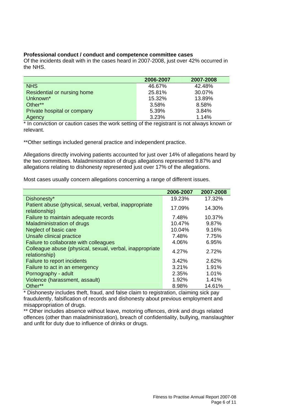#### **Professional conduct / conduct and competence committee cases**

Of the incidents dealt with in the cases heard in 2007-2008, just over 42% occurred in the NHS.

|                             | 2006-2007 | 2007-2008 |
|-----------------------------|-----------|-----------|
| <b>NHS</b>                  | 46.67%    | 42.48%    |
| Residential or nursing home | 25.81%    | 30.07%    |
| Unknown*                    | 15.32%    | 13.89%    |
| Other**                     | 3.58%     | 8.58%     |
| Private hospital or company | 5.39%     | 3.84%     |
| Agency                      | 3.23%     | 1.14%     |

\* In conviction or caution cases the work setting of the registrant is not always known or relevant.

\*\*Other settings included general practice and independent practice.

Allegations directly involving patients accounted for just over 14% of allegations heard by the two committees. Maladministration of drugs allegations represented 9.87% and allegations relating to dishonesty represented just over 17% of the allegations.

Most cases usually concern allegations concerning a range of different issues.

|                                                                           | 2006-2007 | 2007-2008 |
|---------------------------------------------------------------------------|-----------|-----------|
| Dishonesty*                                                               | 19.23%    | 17.32%    |
| Patient abuse (physical, sexual, verbal, inappropriate<br>relationship)   | 17.09%    | 14.30%    |
| Failure to maintain adequate records                                      | 7.48%     | 10.37%    |
| <b>Maladministration of drugs</b>                                         | 10.47%    | 9.87%     |
| Neglect of basic care                                                     | 10.04%    | 9.16%     |
| Unsafe clinical practice                                                  | 7.48%     | 7.75%     |
| Failure to collaborate with colleagues                                    | 4.06%     | 6.95%     |
| Colleague abuse (physical, sexual, verbal, inappropriate<br>relationship) | 4.27%     | 2.72%     |
| Failure to report incidents                                               | 3.42%     | 2.62%     |
| Failure to act in an emergency                                            | 3.21%     | 1.91%     |
| Pornography - adult                                                       | 2.35%     | 1.01%     |
| Violence (harassment, assault)                                            | 1.92%     | 1.41%     |
| Other**                                                                   | 8.98%     | 14.61%    |

\* Dishonesty includes theft, fraud, and false claim to registration, claiming sick pay fraudulently, falsification of records and dishonesty about previous employment and misappropriation of drugs.

\*\* Other includes absence without leave, motoring offences, drink and drugs related offences (other than maladministration), breach of confidentiality, bullying, manslaughter and unfit for duty due to influence of drinks or drugs.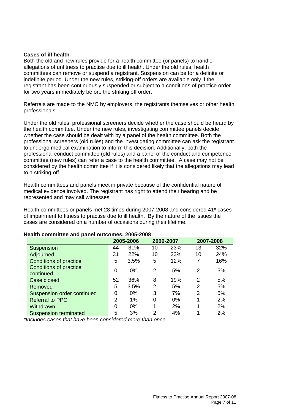#### **Cases of ill health**

Both the old and new rules provide for a health committee (or panels) to handle allegations of unfitness to practise due to ill health. Under the old rules, health committees can remove or suspend a registrant. Suspension can be for a definite or indefinite period. Under the new rules, striking-off orders are available only if the registrant has been continuously suspended or subject to a conditions of practice order for two years immediately before the striking off order.

Referrals are made to the NMC by employers, the registrants themselves or other health professionals.

Under the old rules, professional screeners decide whether the case should be heard by the health committee. Under the new rules, investigating committee panels decide whether the case should be dealt with by a panel of the health committee. Both the professional screeners (old rules) and the investigating committee can ask the registrant to undergo medical examination to inform this decision. Additionally, both the professional conduct committee (old rules) and a panel of the conduct and competence committee (new rules) can refer a case to the health committee. A case may not be considered by the health committee if it is considered likely that the allegations may lead to a striking-off.

Health committees and panels meet in private because of the confidential nature of medical evidence involved. The registrant has right to attend their hearing and be represented and may call witnesses.

Health committees or panels met 28 times during 2007-2008 and considered 41\* cases of impairment to fitness to practise due to ill health. By the nature of the issues the cases are considered on a number of occasions during their lifetime.

| ealth committee and panel outcomes, 2005-2008 |                |       |    |           |    |           |  |
|-----------------------------------------------|----------------|-------|----|-----------|----|-----------|--|
|                                               | 2005-2006      |       |    | 2006-2007 |    | 2007-2008 |  |
| Suspension                                    | 44             | 31%   | 10 | 23%       | 13 | 32%       |  |
| Adjourned                                     | 31             | 22%   | 10 | 23%       | 10 | 24%       |  |
| <b>Conditions of practice</b>                 | 5              | 3.5%  | 5  | 12%       | 7  | 16%       |  |
| Conditions of practice<br>continued           | 0              | $0\%$ | 2  | 5%        | 2  | 5%        |  |
| Case closed                                   | 52             | 36%   | 8  | 19%       | 2  | 5%        |  |
| Removed                                       | 5              | 3.5%  | 2  | 5%        | 2  | 5%        |  |
| Suspension order continued                    | 0              | 0%    | 3  | 7%        | 2  | 5%        |  |
| <b>Referral to PPC</b>                        | $\overline{2}$ | 1%    | 0  | $0\%$     | 1  | 2%        |  |
| Withdrawn                                     | $\Omega$       | $0\%$ |    | 2%        | 1  | 2%        |  |

Suspension terminated 5 3% 2 4% 1 2%

#### **Health committee and panel outcomes, 2005-2008**

*\*Includes cases that have been considered more than once.*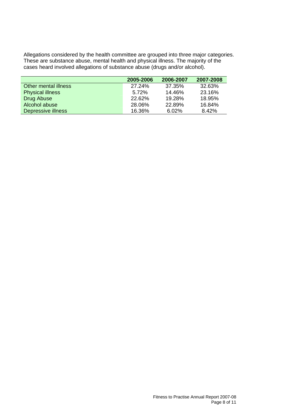Allegations considered by the health committee are grouped into three major categories. These are substance abuse, mental health and physical illness. The majority of the cases heard involved allegations of substance abuse (drugs and/or alcohol).

|                         | 2005-2006 | 2006-2007 | 2007-2008 |
|-------------------------|-----------|-----------|-----------|
| Other mental illness    | 27.24%    | 37.35%    | 32.63%    |
| <b>Physical illness</b> | 5.72%     | 14.46%    | 23.16%    |
| Drug Abuse              | 22.62%    | 19.28%    | 18.95%    |
| Alcohol abuse           | 28.06%    | 22.89%    | 16.84%    |
| Depressive illness      | 16.36%    | 6.02%     | 8.42%     |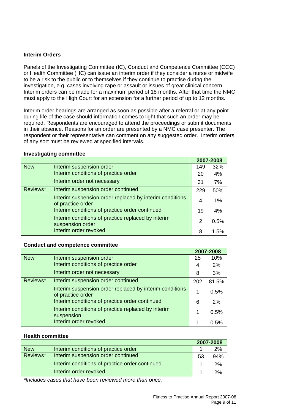## **Interim Orders**

Panels of the Investigating Committee (IC), Conduct and Competence Committee (CCC) or Health Committee (HC) can issue an interim order if they consider a nurse or midwife to be a risk to the public or to themselves if they continue to practise during the investigation, e.g. cases involving rape or assault or issues of great clinical concern. Interim orders can be made for a maximum period of 18 months. After that time the NMC must apply to the High Court for an extension for a further period of up to 12 months.

Interim order hearings are arranged as soon as possible after a referral or at any point during life of the case should information comes to light that such an order may be required. Respondents are encouraged to attend the proceedings or submit documents in their absence. Reasons for an order are presented by a NMC case presenter. The respondent or their representative can comment on any suggested order. Interim orders of any sort must be reviewed at specified intervals.

## **Investigating committee**

|            |                                                                              |     | 2007-2008 |  |
|------------|------------------------------------------------------------------------------|-----|-----------|--|
| <b>New</b> | Interim suspension order                                                     | 149 | 32%       |  |
|            | Interim conditions of practice order                                         | 20  | 4%        |  |
|            | Interim order not necessary                                                  | 31  | 7%        |  |
| Reviews*   | Interim suspension order continued                                           | 229 | 50%       |  |
|            | Interim suspension order replaced by interim conditions<br>of practice order | 4   | 1%        |  |
|            | Interim conditions of practice order continued                               | 19  | 4%        |  |
|            | Interim conditions of practice replaced by interim<br>suspension order       | 2   | 0.5%      |  |
|            | Interim order revoked                                                        | 8   | 1.5%      |  |

#### **Conduct and competence committee**

|            |                                                                              |     | 2007-2008 |  |
|------------|------------------------------------------------------------------------------|-----|-----------|--|
| <b>New</b> | Interim suspension order                                                     | 25  | 10%       |  |
|            | Interim conditions of practice order                                         | 4   | 2%        |  |
|            | Interim order not necessary                                                  | 8   | 3%        |  |
| Reviews*   | Interim suspension order continued                                           | 202 | 81.5%     |  |
|            | Interim suspension order replaced by interim conditions<br>of practice order | 1   | 0.5%      |  |
|            | Interim conditions of practice order continued                               | 6   | 2%        |  |
|            | Interim conditions of practice replaced by interim<br>suspension             | 1   | 0.5%      |  |
|            | Interim order revoked                                                        |     | 0.5%      |  |

#### **Health committee**

|            |                                                | 2007-2008 |     |
|------------|------------------------------------------------|-----------|-----|
| <b>New</b> | Interim conditions of practice order           |           | 2%  |
| Reviews*   | Interim suspension order continued             | 53        | 94% |
|            | Interim conditions of practice order continued |           | 2%  |
|            | Interim order revoked                          |           | 2%  |

*\*Includes cases that have been reviewed more than once.*

**2007-2008**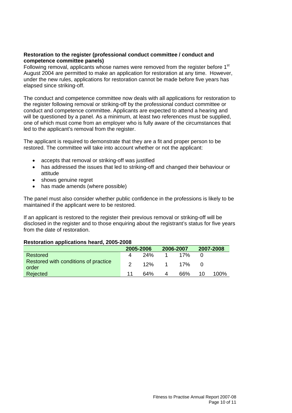## **Restoration to the register (professional conduct committee / conduct and competence committee panels)**

Following removal, applicants whose names were removed from the register before 1<sup>st</sup> August 2004 are permitted to make an application for restoration at any time. However, under the new rules, applications for restoration cannot be made before five years has elapsed since striking-off.

The conduct and competence committee now deals with all applications for restoration to the register following removal or striking-off by the professional conduct committee or conduct and competence committee. Applicants are expected to attend a hearing and will be questioned by a panel. As a minimum, at least two references must be supplied. one of which must come from an employer who is fully aware of the circumstances that led to the applicant's removal from the register.

The applicant is required to demonstrate that they are a fit and proper person to be restored. The committee will take into account whether or not the applicant:

- accepts that removal or striking-off was justified
- has addressed the issues that led to striking-off and changed their behaviour or attitude
- shows genuine regret
- has made amends (where possible)

The panel must also consider whether public confidence in the professions is likely to be maintained if the applicant were to be restored.

If an applicant is restored to the register their previous removal or striking-off will be disclosed in the register and to those enquiring about the registrant's status for five years from the date of restoration.

#### **Restoration applications heard, 2005-2008**

|                                               | 2005-2006 |      | 2006-2007 |           | 2007-2008 |      |
|-----------------------------------------------|-----------|------|-----------|-----------|-----------|------|
| Restored                                      | 4         | -24% | $\sim$ 1  | 17%       |           |      |
| Restored with conditions of practice<br>order |           |      |           | 12% 1 17% |           |      |
| Rejected                                      | 11        | 64%  | -4        | 66%       | 10        | 100% |